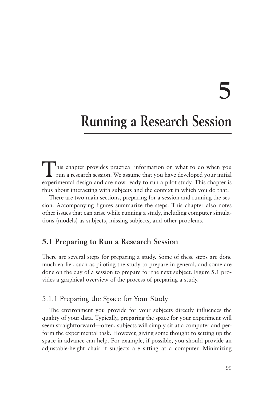# **5**

# **Running a Research Session**

**This chapter provides practical information on what to do when you** run a research session. We assume that you have developed your initial experimental design and are now ready to run a pilot study. This chapter is thus about interacting with subjects and the context in which you do that.

There are two main sections, preparing for a session and running the session. Accompanying figures summarize the steps. This chapter also notes other issues that can arise while running a study, including computer simulations (models) as subjects, missing subjects, and other problems.

# **5.1 Preparing to Run a Research Session**

There are several steps for preparing a study. Some of these steps are done much earlier, such as piloting the study to prepare in general, and some are done on the day of a session to prepare for the next subject. Figure 5.1 provides a graphical overview of the process of preparing a study.

# 5.1.1 Preparing the Space for Your Study

The environment you provide for your subjects directly influences the quality of your data. Typically, preparing the space for your experiment will seem straightforward—often, subjects will simply sit at a computer and perform the experimental task. However, giving some thought to setting up the space in advance can help. For example, if possible, you should provide an adjustable-height chair if subjects are sitting at a computer. Minimizing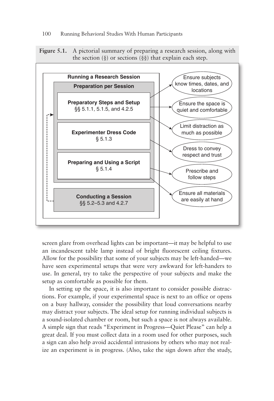**Figure 5.1.** A pictorial summary of preparing a research session, along with the section  $(\S)$  or sections  $(\S \S)$  that explain each step.



screen glare from overhead lights can be important—it may be helpful to use an incandescent table lamp instead of bright fluorescent ceiling fixtures. Allow for the possibility that some of your subjects may be left-handed—we have seen experimental setups that were very awkward for left-handers to use. In general, try to take the perspective of your subjects and make the setup as comfortable as possible for them.

In setting up the space, it is also important to consider possible distractions. For example, if your experimental space is next to an office or opens on a busy hallway, consider the possibility that loud conversations nearby may distract your subjects. The ideal setup for running individual subjects is a sound-isolated chamber or room, but such a space is not always available. A simple sign that reads "Experiment in Progress—Quiet Please" can help a great deal. If you must collect data in a room used for other purposes, such a sign can also help avoid accidental intrusions by others who may not realize an experiment is in progress. (Also, take the sign down after the study,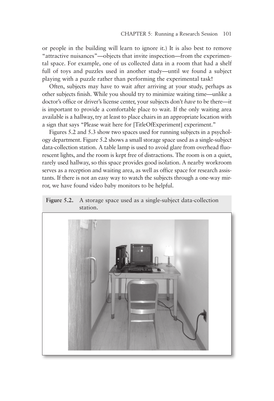or people in the building will learn to ignore it.) It is also best to remove "attractive nuisances"—objects that invite inspection—from the experimental space. For example, one of us collected data in a room that had a shelf full of toys and puzzles used in another study—until we found a subject playing with a puzzle rather than performing the experimental task!

Often, subjects may have to wait after arriving at your study, perhaps as other subjects finish. While you should try to minimize waiting time—unlike a doctor's office or driver's license center, your subjects don't *have* to be there—it is important to provide a comfortable place to wait. If the only waiting area available is a hallway, try at least to place chairs in an appropriate location with a sign that says "Please wait here for [TitleOfExperiment] experiment."

Figures 5.2 and 5.3 show two spaces used for running subjects in a psychology department. Figure 5.2 shows a small storage space used as a single-subject data-collection station. A table lamp is used to avoid glare from overhead fluorescent lights, and the room is kept free of distractions. The room is on a quiet, rarely used hallway, so this space provides good isolation. A nearby workroom serves as a reception and waiting area, as well as office space for research assistants. If there is not an easy way to watch the subjects through a one-way mirror, we have found video baby monitors to be helpful.

## **Figure 5.2.** A storage space used as a single-subject data-collection station.

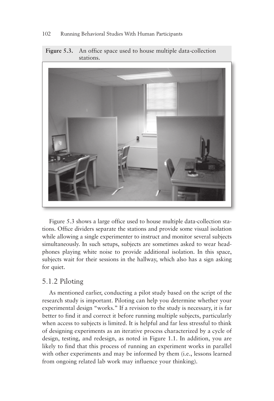**Figure 5.3.** An office space used to house multiple data-collection stations.



Figure 5.3 shows a large office used to house multiple data-collection stations. Office dividers separate the stations and provide some visual isolation while allowing a single experimenter to instruct and monitor several subjects simultaneously. In such setups, subjects are sometimes asked to wear headphones playing white noise to provide additional isolation. In this space, subjects wait for their sessions in the hallway, which also has a sign asking for quiet.

# 5.1.2 Piloting

As mentioned earlier, conducting a pilot study based on the script of the research study is important. Piloting can help you determine whether your experimental design "works." If a revision to the study is necessary, it is far better to find it and correct it before running multiple subjects, particularly when access to subjects is limited. It is helpful and far less stressful to think of designing experiments as an iterative process characterized by a cycle of design, testing, and redesign, as noted in Figure 1.1. In addition, you are likely to find that this process of running an experiment works in parallel with other experiments and may be informed by them (i.e., lessons learned from ongoing related lab work may influence your thinking).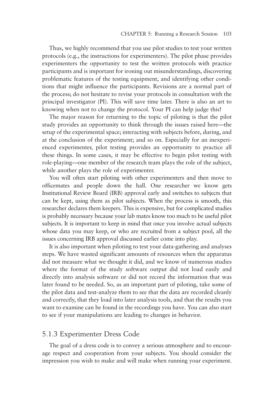Thus, we highly recommend that you use pilot studies to test your written protocols (e.g., the instructions for experimenters). The pilot phase provides experimenters the opportunity to test the written protocols with practice participants and is important for ironing out misunderstandings, discovering problematic features of the testing equipment, and identifying other conditions that might influence the participants. Revisions are a normal part of the process; do not hesitate to revise your protocols in consultation with the principal investigator (PI). This will save time later. There is also an art to knowing when not to change the protocol. Your PI can help judge this!

The major reason for returning to the topic of piloting is that the pilot study provides an opportunity to think through the issues raised here—the setup of the experimental space; interacting with subjects before, during, and at the conclusion of the experiment; and so on. Especially for an inexperienced experimenter, pilot testing provides an opportunity to practice all these things. In some cases, it may be effective to begin pilot testing with role-playing—one member of the research team plays the role of the subject, while another plays the role of experimenter.

You will often start piloting with other experimenters and then move to officemates and people down the hall. One researcher we know gets Institutional Review Board (IRB) approval early and switches to subjects that can be kept, using them as pilot subjects. When the process is smooth, this researcher declares them keepers. This is expensive, but for complicated studies is probably necessary because your lab mates know too much to be useful pilot subjects. It is important to keep in mind that once you involve actual subjects whose data you may keep, or who are recruited from a subject pool, all the issues concerning IRB approval discussed earlier come into play.

It is also important when piloting to test your data-gathering and analyses steps. We have wasted significant amounts of resources when the apparatus did not measure what we thought it did, and we know of numerous studies where the format of the study software output did not load easily and directly into analysis software or did not record the information that was later found to be needed. So, as an important part of piloting, take some of the pilot data and test-analyze them to see that the data are recorded cleanly and correctly, that they load into later analysis tools, and that the results you want to examine can be found in the recordings you have. You can also start to see if your manipulations are leading to changes in behavior.

## 5.1.3 Experimenter Dress Code

The goal of a dress code is to convey a serious atmosphere and to encourage respect and cooperation from your subjects. You should consider the impression you wish to make and will make when running your experiment.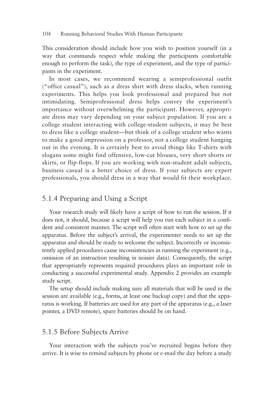This consideration should include how you wish to position yourself (in a way that commands respect while making the participants comfortable enough to perform the task), the type of experiment, and the type of participants in the experiment.

In most cases, we recommend wearing a semiprofessional outfit ("office casual"), such as a dress shirt with dress slacks, when running experiments. This helps you look professional and prepared but not intimidating. Semiprofessional dress helps convey the experiment's importance without overwhelming the participant. However, appropriate dress may vary depending on your subject population. If you are a college student interacting with college-student subjects, it may be best to dress like a college student—but think of a college student who wants to make a good impression on a professor, not a college student hanging out in the evening. It is certainly best to avoid things like T-shirts with slogans some might find offensive, low-cut blouses, very short shorts or skirts, or flip-flops. If you are working with non-student adult subjects, business casual is a better choice of dress. If your subjects are expert professionals, you should dress in a way that would fit their workplace.

#### 5.1.4 Preparing and Using a Script

Your research study will likely have a script of how to run the session. If it does not, it should, because a script will help you run each subject in a confident and consistent manner. The script will often start with how to set up the apparatus. Before the subject's arrival, the experimenter needs to set up the apparatus and should be ready to welcome the subject. Incorrectly or inconsistently applied procedures cause inconsistencies in running the experiment (e.g., omission of an instruction resulting in noisier data). Consequently, the script that appropriately represents required procedures plays an important role in conducting a successful experimental study. Appendix 2 provides an example study script.

The setup should include making sure all materials that will be used in the session are available (e.g., forms, at least one backup copy) and that the apparatus is working. If batteries are used for any part of the apparatus (e.g., a laser pointer, a DVD remote), spare batteries should be on hand.

# 5.1.5 Before Subjects Arrive

Your interaction with the subjects you've recruited begins before they arrive. It is wise to remind subjects by phone or e-mail the day before a study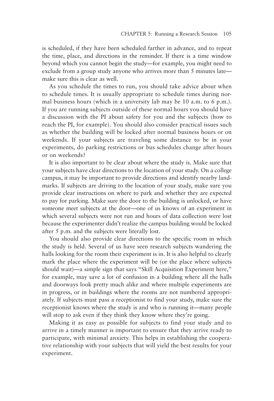is scheduled, if they have been scheduled farther in advance, and to repeat the time, place, and directions in the reminder. If there is a time window beyond which you cannot begin the study—for example, you might need to exclude from a group study anyone who arrives more than 5 minutes late make sure this is clear as well.

As you schedule the times to run, you should take advice about when to schedule times. It is usually appropriate to schedule times during normal business hours (which in a university lab may be 10 a.m. to 6 p.m.). If you are running subjects outside of these normal hours you should have a discussion with the PI about safety for you and the subjects (how to reach the PI, for example). You should also consider practical issues such as whether the building will be locked after normal business hours or on weekends. If your subjects are traveling some distance to be in your experiments, do parking restrictions or bus schedules change after hours or on weekends?

It is also important to be clear about where the study is. Make sure that your subjects have clear directions to the location of your study. On a college campus, it may be important to provide directions and identify nearby landmarks. If subjects are driving to the location of your study, make sure you provide clear instructions on where to park and whether they are expected to pay for parking. Make sure the door to the building is unlocked, or have someone meet subjects at the door—one of us knows of an experiment in which several subjects were not run and hours of data collection were lost because the experimenter didn't realize the campus building would be locked after 5 p.m. and the subjects were literally lost.

You should also provide clear directions to the specific room in which the study is held. Several of us have seen research subjects wandering the halls looking for the room their experiment is in. It is also helpful to clearly mark the place where the experiment will be (or the place where subjects should wait)—a simple sign that says "Skill Acquisition Experiment here," for example, may save a lot of confusion in a building where all the halls and doorways look pretty much alike and where multiple experiments are in progress, or in buildings where the rooms are not numbered appropriately. If subjects must pass a receptionist to find your study, make sure the receptionist knows where the study is and who is running it—many people will stop to ask even if they think they know where they're going.

Making it as easy as possible for subjects to find your study and to arrive in a timely manner is important to ensure that they arrive ready to participate, with minimal anxiety. This helps in establishing the cooperative relationship with your subjects that will yield the best results for your experiment.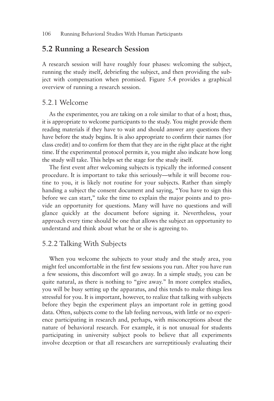# **5.2 Running a Research Session**

A research session will have roughly four phases: welcoming the subject, running the study itself, debriefing the subject, and then providing the subject with compensation when promised. Figure 5.4 provides a graphical overview of running a research session.

# 5.2.1 Welcome

As the experimenter, you are taking on a role similar to that of a host; thus, it is appropriate to welcome participants to the study. You might provide them reading materials if they have to wait and should answer any questions they have before the study begins. It is also appropriate to confirm their names (for class credit) and to confirm for them that they are in the right place at the right time. If the experimental protocol permits it, you might also indicate how long the study will take. This helps set the stage for the study itself.

The first event after welcoming subjects is typically the informed consent procedure. It is important to take this seriously—while it will become routine to you, it is likely not routine for your subjects. Rather than simply handing a subject the consent document and saying, "You have to sign this before we can start," take the time to explain the major points and to provide an opportunity for questions. Many will have no questions and will glance quickly at the document before signing it. Nevertheless, your approach every time should be one that allows the subject an opportunity to understand and think about what he or she is agreeing to.

# 5.2.2 Talking With Subjects

When you welcome the subjects to your study and the study area, you might feel uncomfortable in the first few sessions you run. After you have run a few sessions, this discomfort will go away. In a simple study, you can be quite natural, as there is nothing to "give away." In more complex studies, you will be busy setting up the apparatus, and this tends to make things less stressful for you. It is important, however, to realize that talking with subjects before they begin the experiment plays an important role in getting good data. Often, subjects come to the lab feeling nervous, with little or no experience participating in research and, perhaps, with misconceptions about the nature of behavioral research. For example, it is not unusual for students participating in university subject pools to believe that all experiments involve deception or that all researchers are surreptitiously evaluating their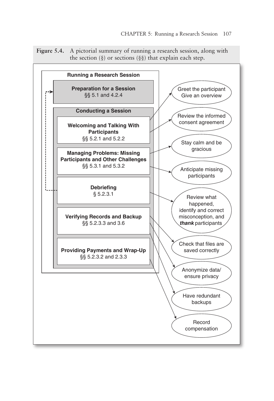**Figure 5.4.** A pictorial summary of running a research session, along with the section  $(\S)$  or sections  $(\S \S)$  that explain each step.

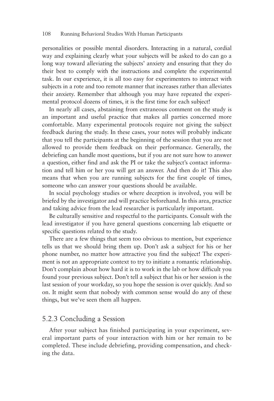personalities or possible mental disorders. Interacting in a natural, cordial way and explaining clearly what your subjects will be asked to do can go a long way toward alleviating the subjects' anxiety and ensuring that they do their best to comply with the instructions and complete the experimental task. In our experience, it is all too easy for experimenters to interact with subjects in a rote and too remote manner that increases rather than alleviates their anxiety. Remember that although you may have repeated the experimental protocol dozens of times, it is the first time for each subject!

In nearly all cases, abstaining from extraneous comment on the study is an important and useful practice that makes all parties concerned more comfortable. Many experimental protocols require not giving the subject feedback during the study. In these cases, your notes will probably indicate that you tell the participants at the beginning of the session that you are not allowed to provide them feedback on their performance. Generally, the debriefing can handle most questions, but if you are not sure how to answer a question, either find and ask the PI or take the subject's contact information and tell him or her you will get an answer. And then do it! This also means that when you are running subjects for the first couple of times, someone who can answer your questions should be available.

In social psychology studies or where deception is involved, you will be briefed by the investigator and will practice beforehand. In this area, practice and taking advice from the lead researcher is particularly important.

Be culturally sensitive and respectful to the participants. Consult with the lead investigator if you have general questions concerning lab etiquette or specific questions related to the study.

There are a few things that seem too obvious to mention, but experience tells us that we should bring them up. Don't ask a subject for his or her phone number, no matter how attractive you find the subject! The experiment is not an appropriate context to try to initiate a romantic relationship. Don't complain about how hard it is to work in the lab or how difficult you found your previous subject. Don't tell a subject that his or her session is the last session of your workday, so you hope the session is over quickly. And so on. It might seem that nobody with common sense would do any of these things, but we've seen them all happen.

# 5.2.3 Concluding a Session

After your subject has finished participating in your experiment, several important parts of your interaction with him or her remain to be completed. These include debriefing, providing compensation, and checking the data.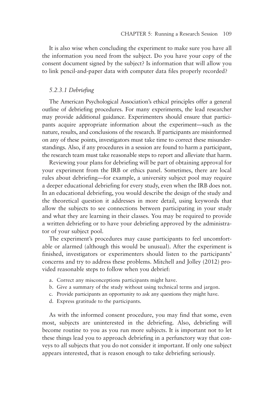It is also wise when concluding the experiment to make sure you have all the information you need from the subject. Do you have your copy of the consent document signed by the subject? Is information that will allow you to link pencil-and-paper data with computer data files properly recorded?

#### *5.2.3.1 Debriefing*

The American Psychological Association's ethical principles offer a general outline of debriefing procedures. For many experiments, the lead researcher may provide additional guidance. Experimenters should ensure that participants acquire appropriate information about the experiment—such as the nature, results, and conclusions of the research. If participants are misinformed on any of these points, investigators must take time to correct these misunderstandings. Also, if any procedures in a session are found to harm a participant, the research team must take reasonable steps to report and alleviate that harm.

Reviewing your plans for debriefing will be part of obtaining approval for your experiment from the IRB or ethics panel. Sometimes, there are local rules about debriefing—for example, a university subject pool may require a deeper educational debriefing for every study, even when the IRB does not. In an educational debriefing, you would describe the design of the study and the theoretical question it addresses in more detail, using keywords that allow the subjects to see connections between participating in your study and what they are learning in their classes. You may be required to provide a written debriefing or to have your debriefing approved by the administrator of your subject pool.

The experiment's procedures may cause participants to feel uncomfortable or alarmed (although this would be unusual). After the experiment is finished, investigators or experimenters should listen to the participants' concerns and try to address these problems. Mitchell and Jolley (2012) provided reasonable steps to follow when you debrief:

- a. Correct any misconceptions participants might have.
- b. Give a summary of the study without using technical terms and jargon.
- c. Provide participants an opportunity to ask any questions they might have.
- d. Express gratitude to the participants.

As with the informed consent procedure, you may find that some, even most, subjects are uninterested in the debriefing. Also, debriefing will become routine to you as you run more subjects. It is important not to let these things lead you to approach debriefing in a perfunctory way that conveys to all subjects that you do not consider it important. If only one subject appears interested, that is reason enough to take debriefing seriously.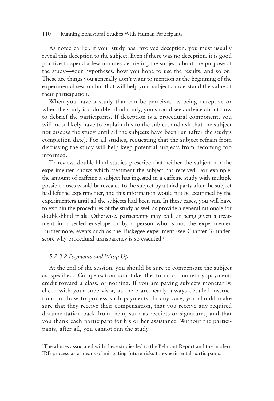As noted earlier, if your study has involved deception, you must usually reveal this deception to the subject. Even if there was no deception, it is good practice to spend a few minutes debriefing the subject about the purpose of the study—your hypotheses, how you hope to use the results, and so on. These are things you generally don't want to mention at the beginning of the experimental session but that will help your subjects understand the value of their participation.

When you have a study that can be perceived as being deceptive or when the study is a double-blind study, you should seek advice about how to debrief the participants. If deception is a procedural component, you will most likely have to explain this to the subject and ask that the subject not discuss the study until all the subjects have been run (after the study's completion date). For all studies, requesting that the subject refrain from discussing the study will help keep potential subjects from becoming too informed.

To review, double-blind studies prescribe that neither the subject nor the experimenter knows which treatment the subject has received. For example, the amount of caffeine a subject has ingested in a caffeine study with multiple possible doses would be revealed to the subject by a third party after the subject had left the experimenter, and this information would not be examined by the experimenters until all the subjects had been run. In these cases, you will have to explain the procedures of the study as well as provide a general rationale for double-blind trials. Otherwise, participants may balk at being given a treatment in a sealed envelope or by a person who is not the experimenter. Furthermore, events such as the Tuskegee experiment (see Chapter 3) underscore why procedural transparency is so essential.<sup>1</sup>

#### *5.2.3.2 Payments and Wrap-Up*

At the end of the session, you should be sure to compensate the subject as specified. Compensation can take the form of monetary payment, credit toward a class, or nothing. If you are paying subjects monetarily, check with your supervisor, as there are nearly always detailed instructions for how to process such payments. In any case, you should make sure that they receive their compensation, that you receive any required documentation back from them, such as receipts or signatures, and that you thank each participant for his or her assistance. Without the participants, after all, you cannot run the study.

<sup>&</sup>lt;sup>1</sup>The abuses associated with these studies led to the Belmont Report and the modern IRB process as a means of mitigating future risks to experimental participants.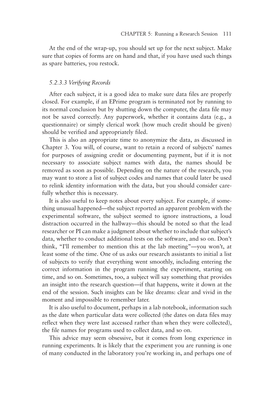At the end of the wrap-up, you should set up for the next subject. Make sure that copies of forms are on hand and that, if you have used such things as spare batteries, you restock.

#### *5.2.3.3 Verifying Records*

After each subject, it is a good idea to make sure data files are properly closed. For example, if an EPrime program is terminated not by running to its normal conclusion but by shutting down the computer, the data file may not be saved correctly. Any paperwork, whether it contains data (e.g., a questionnaire) or simply clerical work (how much credit should be given) should be verified and appropriately filed.

This is also an appropriate time to anonymize the data, as discussed in Chapter 3. You will, of course, want to retain a record of subjects' names for purposes of assigning credit or documenting payment, but if it is not necessary to associate subject names with data, the names should be removed as soon as possible. Depending on the nature of the research, you may want to store a list of subject codes and names that could later be used to relink identity information with the data, but you should consider carefully whether this is necessary.

It is also useful to keep notes about every subject. For example, if something unusual happened—the subject reported an apparent problem with the experimental software, the subject seemed to ignore instructions, a loud distraction occurred in the hallway—this should be noted so that the lead researcher or PI can make a judgment about whether to include that subject's data, whether to conduct additional tests on the software, and so on. Don't think, "I'll remember to mention this at the lab meeting"—you won't, at least some of the time. One of us asks our research assistants to initial a list of subjects to verify that everything went smoothly, including entering the correct information in the program running the experiment, starting on time, and so on. Sometimes, too, a subject will say something that provides an insight into the research question—if that happens, write it down at the end of the session. Such insights can be like dreams: clear and vivid in the moment and impossible to remember later.

It is also useful to document, perhaps in a lab notebook, information such as the date when particular data were collected (the dates on data files may reflect when they were last accessed rather than when they were collected), the file names for programs used to collect data, and so on.

This advice may seem obsessive, but it comes from long experience in running experiments. It is likely that the experiment you are running is one of many conducted in the laboratory you're working in, and perhaps one of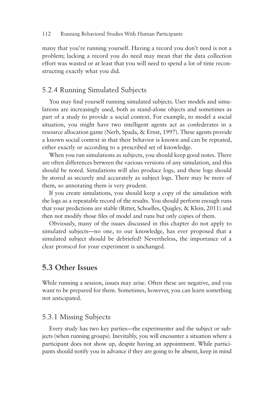many that you're running yourself. Having a record you don't need is not a problem; lacking a record you do need may mean that the data collection effort was wasted or at least that you will need to spend a lot of time reconstructing exactly what you did.

# 5.2.4 Running Simulated Subjects

You may find yourself running simulated subjects. User models and simulations are increasingly used, both as stand-alone objects and sometimes as part of a study to provide a social context. For example, to model a social situation, you might have two intelligent agents act as confederates in a resource allocation game (Nerb, Spada, & Ernst, 1997). These agents provide a known social context in that their behavior is known and can be repeated, either exactly or according to a prescribed set of knowledge.

When you run simulations as subjects, you should keep good notes. There are often differences between the various versions of any simulation, and this should be noted. Simulations will also produce logs, and these logs should be stored as securely and accurately as subject logs. There may be more of them, so annotating them is very prudent.

If you create simulations, you should keep a copy of the simulation with the logs as a repeatable record of the results. You should perform enough runs that your predictions are stable (Ritter, Schoelles, Quigley, & Klein, 2011) and then not modify those files of model and runs but only copies of them.

Obviously, many of the issues discussed in this chapter do not apply to simulated subjects—no one, to our knowledge, has ever proposed that a simulated subject should be debriefed! Nevertheless, the importance of a clear protocol for your experiment is unchanged.

# **5.3 Other Issues**

While running a session, issues may arise. Often these are negative, and you want to be prepared for them. Sometimes, however, you can learn something not anticipated.

# 5.3.1 Missing Subjects

Every study has two key parties—the experimenter and the subject or subjects (when running groups). Inevitably, you will encounter a situation where a participant does not show up, despite having an appointment. While participants should notify you in advance if they are going to be absent, keep in mind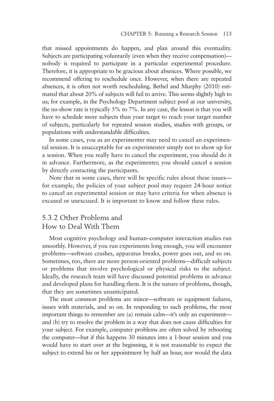that missed appointments do happen, and plan around this eventuality. Subjects are participating voluntarily (even when they receive compensation) nobody is required to participate in a particular experimental procedure. Therefore, it is appropriate to be gracious about absences. Where possible, we recommend offering to reschedule once. However, when there are repeated absences, it is often not worth rescheduling. Bethel and Murphy (2010) estimated that about 20% of subjects will fail to arrive. This seems slightly high to us; for example, in the Psychology Department subject pool at our university, the no-show rate is typically 5% to 7%. In any case, the lesson is that you will have to schedule more subjects than your target to reach your target number of subjects, particularly for repeated session studies, studies with groups, or populations with understandable difficulties.

In some cases, you as an experimenter may need to cancel an experimental session. It is unacceptable for an experimenter simply not to show up for a session. When you really have to cancel the experiment, you should do it in advance. Furthermore, as the experimenter, you should cancel a session by directly contacting the participants.

Note that in some cases, there will be specific rules about these issues for example, the policies of your subject pool may require 24-hour notice to cancel an experimental session or may have criteria for when absence is excused or unexcused. It is important to know and follow these rules.

# 5.3.2 Other Problems and How to Deal With Them

Most cognitive psychology and human–computer interaction studies run smoothly. However, if you run experiments long enough, you will encounter problems—software crashes, apparatus breaks, power goes out, and so on. Sometimes, too, there are more person-oriented problems—difficult subjects or problems that involve psychological or physical risks to the subject. Ideally, the research team will have discussed potential problems in advance and developed plans for handling them. It is the nature of problems, though, that they are sometimes unanticipated.

The most common problems are minor—software or equipment failures, issues with materials, and so on. In responding to such problems, the most important things to remember are (a) remain calm—it's only an experiment and (b) try to resolve the problem in a way that does not cause difficulties for your subject. For example, computer problems are often solved by rebooting the computer—but if this happens 30 minutes into a 1-hour session and you would have to start over at the beginning, it is not reasonable to expect the subject to extend his or her appointment by half an hour, nor would the data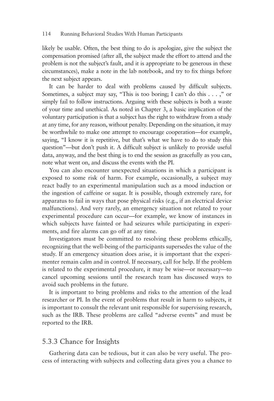likely be usable. Often, the best thing to do is apologize, give the subject the compensation promised (after all, the subject made the effort to attend and the problem is not the subject's fault, and it is appropriate to be generous in these circumstances), make a note in the lab notebook, and try to fix things before the next subject appears.

It can be harder to deal with problems caused by difficult subjects. Sometimes, a subject may say, "This is too boring; I can't do this . . . ," or simply fail to follow instructions. Arguing with these subjects is both a waste of your time and unethical. As noted in Chapter 3, a basic implication of the voluntary participation is that a subject has the right to withdraw from a study at any time, for any reason, without penalty. Depending on the situation, it may be worthwhile to make one attempt to encourage cooperation—for example, saying, "I know it is repetitive, but that's what we have to do to study this question"—but don't push it. A difficult subject is unlikely to provide useful data, anyway, and the best thing is to end the session as gracefully as you can, note what went on, and discuss the events with the PI.

You can also encounter unexpected situations in which a participant is exposed to some risk of harm. For example, occasionally, a subject may react badly to an experimental manipulation such as a mood induction or the ingestion of caffeine or sugar. It is possible, though extremely rare, for apparatus to fail in ways that pose physical risks (e.g., if an electrical device malfunctions). And very rarely, an emergency situation not related to your experimental procedure can occur—for example, we know of instances in which subjects have fainted or had seizures while participating in experiments, and fire alarms can go off at any time.

Investigators must be committed to resolving these problems ethically, recognizing that the well-being of the participants supersedes the value of the study. If an emergency situation does arise, it is important that the experimenter remain calm and in control. If necessary, call for help. If the problem is related to the experimental procedure, it may be wise—or necessary—to cancel upcoming sessions until the research team has discussed ways to avoid such problems in the future.

It is important to bring problems and risks to the attention of the lead researcher or PI. In the event of problems that result in harm to subjects, it is important to consult the relevant unit responsible for supervising research, such as the IRB. These problems are called "adverse events" and must be reported to the IRB.

# 5.3.3 Chance for Insights

Gathering data can be tedious, but it can also be very useful. The process of interacting with subjects and collecting data gives you a chance to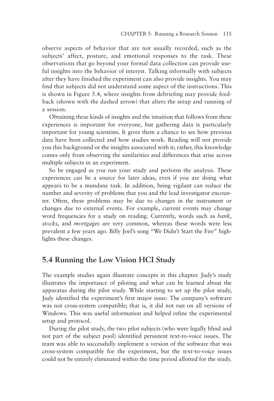observe aspects of behavior that are not usually recorded, such as the subjects' affect, posture, and emotional responses to the task. These observations that go beyond your formal data collection can provide useful insights into the behavior of interest. Talking informally with subjects after they have finished the experiment can also provide insights. You may find that subjects did not understand some aspect of the instructions. This is shown in Figure 5.4, where insights from debriefing may provide feedback (shown with the dashed arrow) that alters the setup and running of a session.

Obtaining these kinds of insights and the intuition that follows from these experiences is important for everyone, but gathering data is particularly important for young scientists. It gives them a chance to see how previous data have been collected and how studies work. Reading will not provide you this background or the insights associated with it; rather, this knowledge comes only from observing the similarities and differences that arise across multiple subjects in an experiment.

So be engaged as you run your study and perform the analysis. These experiences can be a source for later ideas, even if you are doing what appears to be a mundane task. In addition, being vigilant can reduce the number and severity of problems that you and the lead investigator encounter. Often, these problems may be due to changes in the instrument or changes due to external events. For example, current events may change word frequencies for a study on reading. Currently, words such as *bank*, *stocks*, and *mortgages* are very common, whereas these words were less prevalent a few years ago. Billy Joel's song "We Didn't Start the Fire" highlights these changes.

# **5.4 Running the Low Vision HCI Study**

The example studies again illustrate concepts in this chapter. Judy's study illustrates the importance of piloting and what can be learned about the apparatus during the pilot study. While starting to set up the pilot study, Judy identified the experiment's first major issue: The company's software was not cross-system compatible; that is, it did not run on all versions of Windows. This was useful information and helped refine the experimental setup and protocol.

During the pilot study, the two pilot subjects (who were legally blind and not part of the subject pool) identified persistent text-to-voice issues. The team was able to successfully implement a version of the software that was cross-system compatible for the experiment, but the text-to-voice issues could not be entirely eliminated within the time period allotted for the study.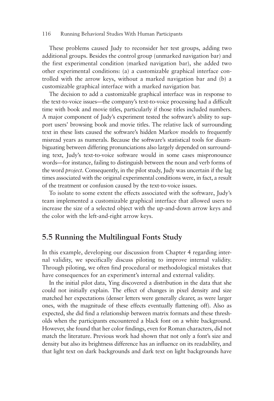These problems caused Judy to reconsider her test groups, adding two additional groups. Besides the control group (unmarked navigation bar) and the first experimental condition (marked navigation bar), she added two other experimental conditions: (a) a customizable graphical interface controlled with the arrow keys, without a marked navigation bar and (b) a customizable graphical interface with a marked navigation bar.

The decision to add a customizable graphical interface was in response to the text-to-voice issues—the company's text-to-voice processing had a difficult time with book and movie titles, particularly if those titles included numbers. A major component of Judy's experiment tested the software's ability to support users' browsing book and movie titles. The relative lack of surrounding text in these lists caused the software's hidden Markov models to frequently misread years as numerals. Because the software's statistical tools for disambiguating between differing pronunciations also largely depended on surrounding text, Judy's text-to-voice software would in some cases mispronounce words—for instance, failing to distinguish between the noun and verb forms of the word *project*. Consequently, in the pilot study, Judy was uncertain if the lag times associated with the original experimental conditions were, in fact, a result of the treatment or confusion caused by the text-to-voice issues.

To isolate to some extent the effects associated with the software, Judy's team implemented a customizable graphical interface that allowed users to increase the size of a selected object with the up-and-down arrow keys and the color with the left-and-right arrow keys.

# **5.5 Running the Multilingual Fonts Study**

In this example, developing our discussion from Chapter 4 regarding internal validity, we specifically discuss piloting to improve internal validity. Through piloting, we often find procedural or methodological mistakes that have consequences for an experiment's internal and external validity.

In the initial pilot data, Ying discovered a distribution in the data that she could not initially explain. The effect of changes in pixel density and size matched her expectations (denser letters were generally clearer, as were larger ones, with the magnitude of these effects eventually flattening off). Also as expected, she did find a relationship between matrix formats and these thresholds when the participants encountered a black font on a white background. However, she found that her color findings, even for Roman characters, did not match the literature. Previous work had shown that not only a font's size and density but also its brightness difference has an influence on its readability, and that light text on dark backgrounds and dark text on light backgrounds have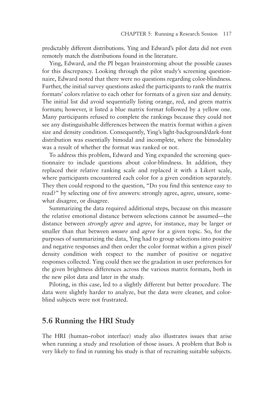predictably different distributions. Ying and Edward's pilot data did not even remotely match the distributions found in the literature.

Ying, Edward, and the PI began brainstorming about the possible causes for this discrepancy. Looking through the pilot study's screening questionnaire, Edward noted that there were no questions regarding color-blindness. Further, the initial survey questions asked the participants to rank the matrix formats' colors relative to each other for formats of a given size and density. The initial list did avoid sequentially listing orange, red, and green matrix formats; however, it listed a blue matrix format followed by a yellow one. Many participants refused to complete the rankings because they could not see any distinguishable differences between the matrix format within a given size and density condition. Consequently, Ying's light-background/dark-font distribution was essentially bimodal and incomplete, where the bimodality was a result of whether the format was ranked or not.

To address this problem, Edward and Ying expanded the screening questionnaire to include questions about color-blindness. In addition, they replaced their relative ranking scale and replaced it with a Likert scale, where participants encountered each color for a given condition separately. They then could respond to the question, "Do you find this sentence easy to read?" by selecting one of five answers: strongly agree, agree, unsure, somewhat disagree, or disagree.

Summarizing the data required additional steps, because on this measure the relative emotional distance between selections cannot be assumed—the distance between *strongly agree* and *agree*, for instance, may be larger or smaller than that between *unsure* and *agree* for a given topic. So, for the purposes of summarizing the data, Ying had to group selections into positive and negative responses and then order the color format within a given pixel/ density condition with respect to the number of positive or negative responses collected. Ying could then see the gradation in user preferences for the given brightness differences across the various matrix formats, both in the new pilot data and later in the study.

Piloting, in this case, led to a slightly different but better procedure. The data were slightly harder to analyze, but the data were cleaner, and colorblind subjects were not frustrated.

# **5.6 Running the HRI Study**

The HRI (human–robot interface) study also illustrates issues that arise when running a study and resolution of those issues. A problem that Bob is very likely to find in running his study is that of recruiting suitable subjects.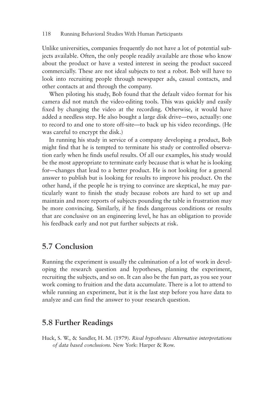Unlike universities, companies frequently do not have a lot of potential subjects available. Often, the only people readily available are those who know about the product or have a vested interest in seeing the product succeed commercially. These are not ideal subjects to test a robot. Bob will have to look into recruiting people through newspaper ads, casual contacts, and other contacts at and through the company.

When piloting his study, Bob found that the default video format for his camera did not match the video-editing tools. This was quickly and easily fixed by changing the video at the recording. Otherwise, it would have added a needless step. He also bought a large disk drive—two, actually: one to record to and one to store off-site—to back up his video recordings. (He was careful to encrypt the disk.)

In running his study in service of a company developing a product, Bob might find that he is tempted to terminate his study or controlled observation early when he finds useful results. Of all our examples, his study would be the most appropriate to terminate early because that is what he is looking for—changes that lead to a better product. He is not looking for a general answer to publish but is looking for results to improve his product. On the other hand, if the people he is trying to convince are skeptical, he may particularly want to finish the study because robots are hard to set up and maintain and more reports of subjects pounding the table in frustration may be more convincing. Similarly, if he finds dangerous conditions or results that are conclusive on an engineering level, he has an obligation to provide his feedback early and not put further subjects at risk.

# **5.7 Conclusion**

Running the experiment is usually the culmination of a lot of work in developing the research question and hypotheses, planning the experiment, recruiting the subjects, and so on. It can also be the fun part, as you see your work coming to fruition and the data accumulate. There is a lot to attend to while running an experiment, but it is the last step before you have data to analyze and can find the answer to your research question.

# **5.8 Further Readings**

Huck, S. W., & Sandler, H. M. (1979). *Rival hypotheses: Alternative interpretations of data based conclusions.* New York: Harper & Row.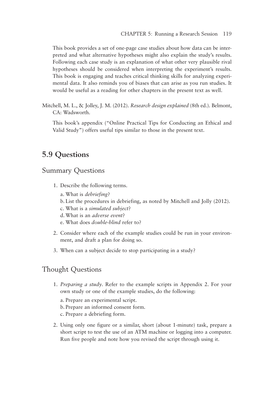This book provides a set of one-page case studies about how data can be interpreted and what alternative hypotheses might also explain the study's results. Following each case study is an explanation of what other very plausible rival hypotheses should be considered when interpreting the experiment's results. This book is engaging and teaches critical thinking skills for analyzing experimental data. It also reminds you of biases that can arise as you run studies. It would be useful as a reading for other chapters in the present text as well.

Mitchell, M. L., & Jolley, J. M. (2012). *Research design explained* (8th ed.). Belmont, CA: Wadsworth.

This book's appendix ("Online Practical Tips for Conducting an Ethical and Valid Study") offers useful tips similar to those in the present text.

# **5.9 Questions**

# Summary Questions

- 1. Describe the following terms.
	- a. What is *debriefing*?
	- b. List the procedures in debriefing, as noted by Mitchell and Jolly (2012).
	- c. What is a *simulated subject*?
	- d.What is an *adverse event*?
	- e. What does *double-blind* refer to?
- 2. Consider where each of the example studies could be run in your environment, and draft a plan for doing so.
- 3. When can a subject decide to stop participating in a study?

# Thought Questions

- 1. *Preparing a study*. Refer to the example scripts in Appendix 2. For your own study or one of the example studies, do the following:
	- a. Prepare an experimental script.
	- b. Prepare an informed consent form.
	- c. Prepare a debriefing form.
- 2. Using only one figure or a similar, short (about 1-minute) task, prepare a short script to test the use of an ATM machine or logging into a computer. Run five people and note how you revised the script through using it.